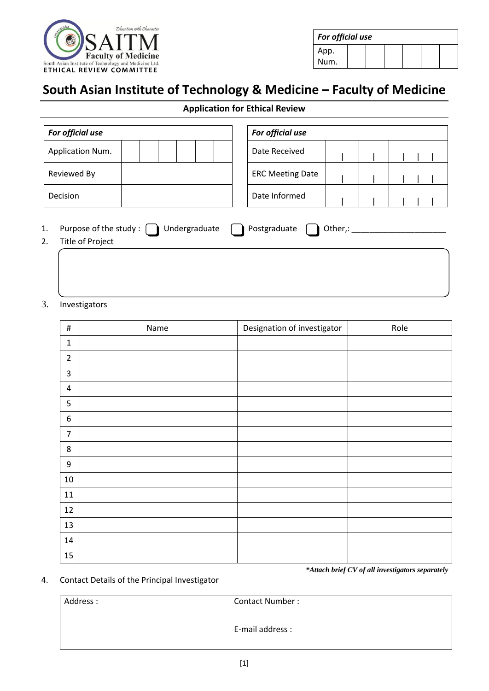

| For official use |  |  |  |  |  |  |  |
|------------------|--|--|--|--|--|--|--|
| App.             |  |  |  |  |  |  |  |
| Num.             |  |  |  |  |  |  |  |

# **South Asian Institute of Technology & Medicine – Faculty of Medicine**

## **Application for Ethical Review**

| For official use                                                        |  |  |               |  | For official use        |         |  |  |
|-------------------------------------------------------------------------|--|--|---------------|--|-------------------------|---------|--|--|
| Application Num.                                                        |  |  |               |  | Date Received           |         |  |  |
| Reviewed By                                                             |  |  |               |  | <b>ERC Meeting Date</b> |         |  |  |
| Decision                                                                |  |  | Date Informed |  |                         |         |  |  |
| 1.<br>Purpose of the study : $\left[ \right]$<br>2.<br>Title of Project |  |  | Undergraduate |  | Postgraduate            | Other,: |  |  |

#### 3. Investigators

| $\#$             | Name | Designation of investigator | Role |
|------------------|------|-----------------------------|------|
| $\mathbf{1}$     |      |                             |      |
| $\overline{2}$   |      |                             |      |
| $\overline{3}$   |      |                             |      |
| $\overline{4}$   |      |                             |      |
| $\mathsf S$      |      |                             |      |
| $\boldsymbol{6}$ |      |                             |      |
| $\overline{7}$   |      |                             |      |
| $\bf 8$          |      |                             |      |
| $\boldsymbol{9}$ |      |                             |      |
| $10\,$           |      |                             |      |
| 11               |      |                             |      |
| 12               |      |                             |      |
| 13               |      |                             |      |
| $14\,$           |      |                             |      |
| 15               |      |                             |      |

*\*Attach brief CV of all investigators separately*

### 4. Contact Details of the Principal Investigator

| Address: | <b>Contact Number:</b> |
|----------|------------------------|
|          | E-mail address :       |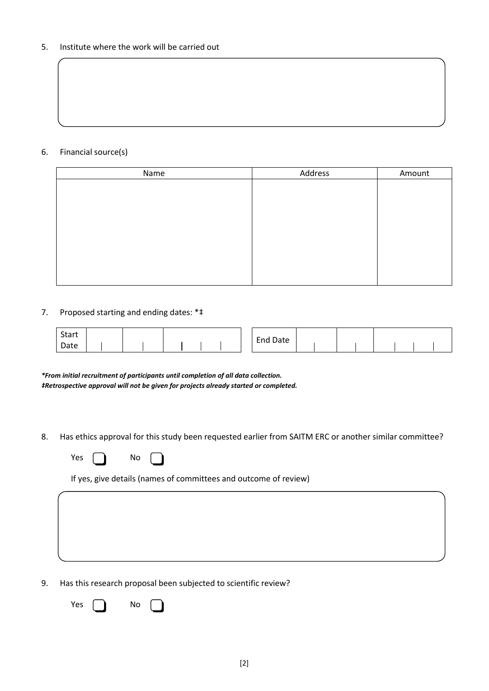#### 5. Institute where the work will be carried out

#### 6. Financial source(s)

| Name | Address | Amount |
|------|---------|--------|
|      |         |        |
|      |         |        |
|      |         |        |
|      |         |        |
|      |         |        |
|      |         |        |
|      |         |        |
|      |         |        |

### 7. Proposed starting and ending dates: \*‡

| <b>Start</b> |  |  |  | End<br>Date |  |  |  |  |
|--------------|--|--|--|-------------|--|--|--|--|
| Date         |  |  |  |             |  |  |  |  |

*\*From initial recruitment of participants until completion of all data collection. ‡Retrospective approval will not be given for projects already started or completed.*

8. Has ethics approval for this study been requested earlier from SAITM ERC or another similar committee?

| Υρς |  | No |  |
|-----|--|----|--|
|-----|--|----|--|

If yes, give details (names of committees and outcome of review)

9. Has this research proposal been subjected to scientific review?

Yes  $\bigcap$  No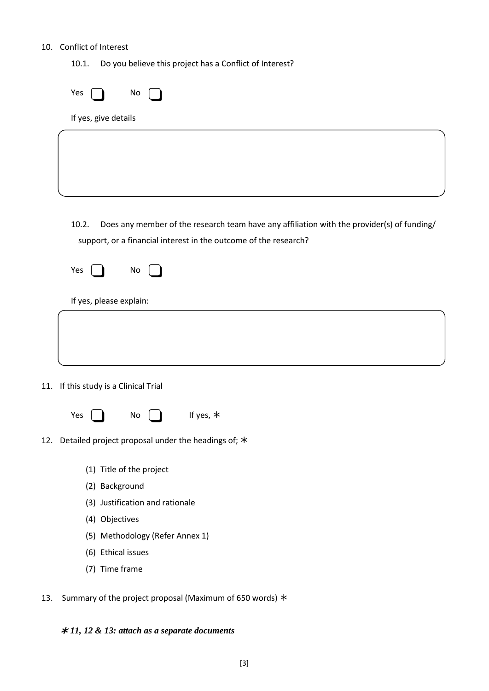### 10. Conflict of Interest

10.1. Do you believe this project has a Conflict of Interest?

| Yes<br>No                                                                                                                                                               |  |
|-------------------------------------------------------------------------------------------------------------------------------------------------------------------------|--|
| If yes, give details                                                                                                                                                    |  |
|                                                                                                                                                                         |  |
| 10.2.<br>Does any member of the research team have any affiliation with the provider(s) of funding/<br>support, or a financial interest in the outcome of the research? |  |
| Yes<br>No                                                                                                                                                               |  |
| If yes, please explain:                                                                                                                                                 |  |
|                                                                                                                                                                         |  |
| 11. If this study is a Clinical Trial                                                                                                                                   |  |
| If yes, *<br>Yes<br>No                                                                                                                                                  |  |
| 12. Detailed project proposal under the headings of; $*$                                                                                                                |  |
| (1) Title of the project                                                                                                                                                |  |
| (2) Background                                                                                                                                                          |  |
| (3) Justification and rationale                                                                                                                                         |  |
| (4) Objectives                                                                                                                                                          |  |
| (5) Methodology (Refer Annex 1)                                                                                                                                         |  |
| (6) Ethical issues                                                                                                                                                      |  |
| (7) Time frame                                                                                                                                                          |  |

13. Summary of the project proposal (Maximum of 650 words)  $*$ 

## *11, 12 & 13: attach as a separate documents*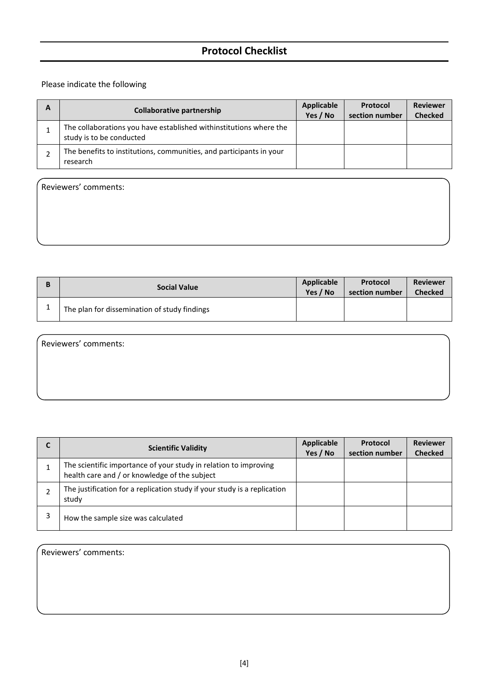## **Protocol Checklist**

### Please indicate the following

Reviewers' comments:

| <b>Collaborative partnership</b>                                                               | Applicable<br>Yes / No | Protocol<br>section number | <b>Reviewer</b><br><b>Checked</b> |
|------------------------------------------------------------------------------------------------|------------------------|----------------------------|-----------------------------------|
| The collaborations you have established withinstitutions where the<br>study is to be conducted |                        |                            |                                   |
| The benefits to institutions, communities, and participants in your<br>research                |                        |                            |                                   |

| B | <b>Social Value</b>                          | Applicable | Protocol       | <b>Reviewer</b> |
|---|----------------------------------------------|------------|----------------|-----------------|
|   |                                              | Yes / No   | section number | <b>Checked</b>  |
|   | The plan for dissemination of study findings |            |                |                 |

Reviewers' comments:

| <b>Scientific Validity</b>                                                                                        | <b>Applicable</b><br>Yes / No | Protocol<br>section number | <b>Reviewer</b><br><b>Checked</b> |
|-------------------------------------------------------------------------------------------------------------------|-------------------------------|----------------------------|-----------------------------------|
| The scientific importance of your study in relation to improving<br>health care and / or knowledge of the subject |                               |                            |                                   |
| The justification for a replication study if your study is a replication<br>study                                 |                               |                            |                                   |
| How the sample size was calculated                                                                                |                               |                            |                                   |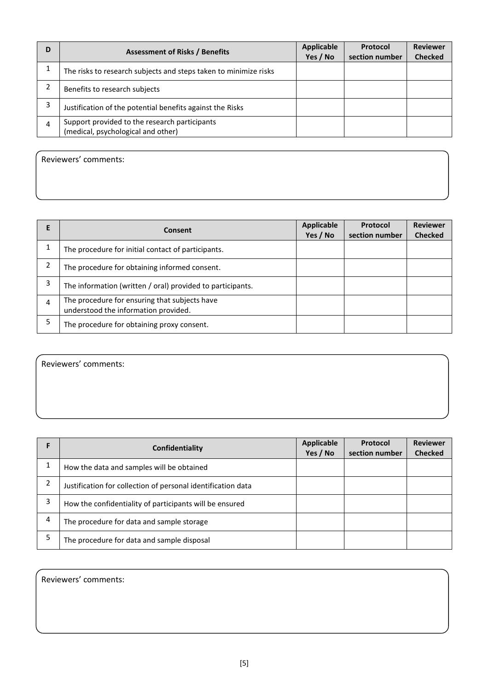| D | <b>Assessment of Risks / Benefits</b>                                               | Applicable<br>Yes / No | Protocol<br>section number | <b>Reviewer</b><br><b>Checked</b> |
|---|-------------------------------------------------------------------------------------|------------------------|----------------------------|-----------------------------------|
|   | The risks to research subjects and steps taken to minimize risks                    |                        |                            |                                   |
| 2 | Benefits to research subjects                                                       |                        |                            |                                   |
| 3 | Justification of the potential benefits against the Risks                           |                        |                            |                                   |
|   | Support provided to the research participants<br>(medical, psychological and other) |                        |                            |                                   |

Reviewers' comments:

|   | Consent                                                                               | <b>Applicable</b><br>Yes / No | <b>Protocol</b><br>section number | <b>Reviewer</b><br><b>Checked</b> |
|---|---------------------------------------------------------------------------------------|-------------------------------|-----------------------------------|-----------------------------------|
|   | The procedure for initial contact of participants.                                    |                               |                                   |                                   |
| 2 | The procedure for obtaining informed consent.                                         |                               |                                   |                                   |
| 3 | The information (written / oral) provided to participants.                            |                               |                                   |                                   |
| 4 | The procedure for ensuring that subjects have<br>understood the information provided. |                               |                                   |                                   |
|   | The procedure for obtaining proxy consent.                                            |                               |                                   |                                   |

Reviewers' comments:

|   | Confidentiality                                              | <b>Applicable</b><br>Yes / No | <b>Protocol</b><br>section number | <b>Reviewer</b><br><b>Checked</b> |
|---|--------------------------------------------------------------|-------------------------------|-----------------------------------|-----------------------------------|
|   | How the data and samples will be obtained                    |                               |                                   |                                   |
|   | Justification for collection of personal identification data |                               |                                   |                                   |
|   | How the confidentiality of participants will be ensured      |                               |                                   |                                   |
| 4 | The procedure for data and sample storage                    |                               |                                   |                                   |
|   | The procedure for data and sample disposal                   |                               |                                   |                                   |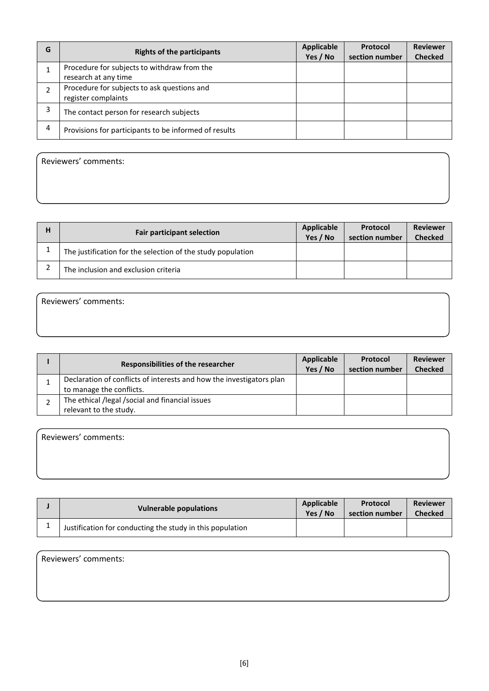| G | <b>Rights of the participants</b>                                   | <b>Applicable</b><br>Yes / No | Protocol<br>section number | <b>Reviewer</b><br><b>Checked</b> |
|---|---------------------------------------------------------------------|-------------------------------|----------------------------|-----------------------------------|
|   | Procedure for subjects to withdraw from the<br>research at any time |                               |                            |                                   |
|   | Procedure for subjects to ask questions and<br>register complaints  |                               |                            |                                   |
|   | The contact person for research subjects                            |                               |                            |                                   |
| 4 | Provisions for participants to be informed of results               |                               |                            |                                   |

Reviewers' comments:

| H | <b>Fair participant selection</b>                           | Applicable<br>Yes / No | Protocol<br>section number | <b>Reviewer</b><br><b>Checked</b> |
|---|-------------------------------------------------------------|------------------------|----------------------------|-----------------------------------|
|   | The justification for the selection of the study population |                        |                            |                                   |
|   | The inclusion and exclusion criteria                        |                        |                            |                                   |

Reviewers' comments:

| Responsibilities of the researcher                                                               | <b>Applicable</b><br>Yes / No | <b>Protocol</b><br>section number | <b>Reviewer</b><br><b>Checked</b> |
|--------------------------------------------------------------------------------------------------|-------------------------------|-----------------------------------|-----------------------------------|
| Declaration of conflicts of interests and how the investigators plan<br>to manage the conflicts. |                               |                                   |                                   |
| The ethical /legal /social and financial issues<br>relevant to the study.                        |                               |                                   |                                   |

| Vulnerable populations                                    | Applicable<br>Yes / No | Protocol<br>section number | <b>Reviewer</b><br><b>Checked</b> |
|-----------------------------------------------------------|------------------------|----------------------------|-----------------------------------|
| Justification for conducting the study in this population |                        |                            |                                   |

| Reviewers' comments: |  |  |
|----------------------|--|--|
|                      |  |  |
|                      |  |  |
|                      |  |  |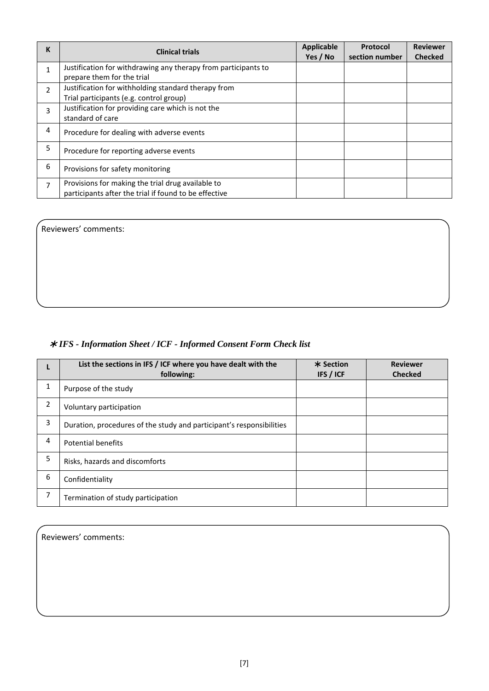| K | <b>Clinical trials</b>                                                                                     | <b>Applicable</b><br>Yes / No | Protocol<br>section number | <b>Reviewer</b><br><b>Checked</b> |
|---|------------------------------------------------------------------------------------------------------------|-------------------------------|----------------------------|-----------------------------------|
| 1 | Justification for withdrawing any therapy from participants to<br>prepare them for the trial               |                               |                            |                                   |
| 2 | Justification for withholding standard therapy from<br>Trial participants (e.g. control group)             |                               |                            |                                   |
| 3 | Justification for providing care which is not the<br>standard of care                                      |                               |                            |                                   |
| 4 | Procedure for dealing with adverse events                                                                  |                               |                            |                                   |
| 5 | Procedure for reporting adverse events                                                                     |                               |                            |                                   |
| 6 | Provisions for safety monitoring                                                                           |                               |                            |                                   |
| 7 | Provisions for making the trial drug available to<br>participants after the trial if found to be effective |                               |                            |                                   |

Reviewers' comments:

## *IFS - Information Sheet / ICF - Informed Consent Form Check list*

|                | List the sections in IFS / ICF where you have dealt with the<br>following: | * Section<br>IFS / ICF | <b>Reviewer</b><br><b>Checked</b> |
|----------------|----------------------------------------------------------------------------|------------------------|-----------------------------------|
| 1              | Purpose of the study                                                       |                        |                                   |
| $\overline{2}$ | Voluntary participation                                                    |                        |                                   |
| 3              | Duration, procedures of the study and participant's responsibilities       |                        |                                   |
| 4              | <b>Potential benefits</b>                                                  |                        |                                   |
| 5              | Risks, hazards and discomforts                                             |                        |                                   |
| 6              | Confidentiality                                                            |                        |                                   |
| 7              | Termination of study participation                                         |                        |                                   |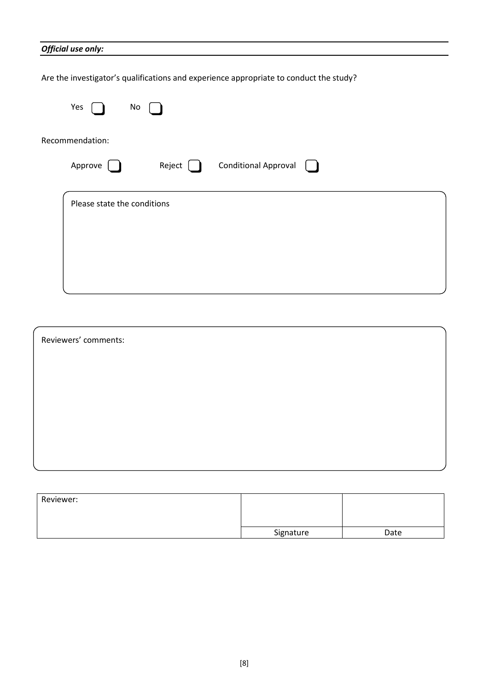### *Official use only:*

Are the investigator's qualifications and experience appropriate to conduct the study?

| Yes<br>No                                        |
|--------------------------------------------------|
| Recommendation:                                  |
| <b>Conditional Approval</b><br>Reject<br>Approve |
| Please state the conditions                      |

| Reviewers' comments: |  |  |  |  |  |  |
|----------------------|--|--|--|--|--|--|
|                      |  |  |  |  |  |  |
|                      |  |  |  |  |  |  |
|                      |  |  |  |  |  |  |
|                      |  |  |  |  |  |  |
|                      |  |  |  |  |  |  |

| Reviewer: |           |      |
|-----------|-----------|------|
|           | Signature | Date |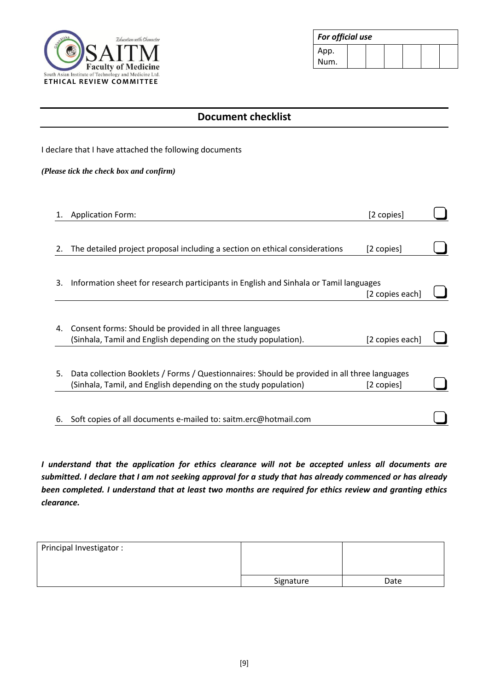

| For official use |  |  |  |  |  |
|------------------|--|--|--|--|--|
| App.             |  |  |  |  |  |
| Num.             |  |  |  |  |  |

| <b>Document checklist</b>                                                                                                   |                                         |                                                                                                                                                                                                          |  |  |  |
|-----------------------------------------------------------------------------------------------------------------------------|-----------------------------------------|----------------------------------------------------------------------------------------------------------------------------------------------------------------------------------------------------------|--|--|--|
| I declare that I have attached the following documents                                                                      |                                         |                                                                                                                                                                                                          |  |  |  |
|                                                                                                                             |                                         |                                                                                                                                                                                                          |  |  |  |
| <b>Application Form:</b>                                                                                                    | [2 copies]                              |                                                                                                                                                                                                          |  |  |  |
| The detailed project proposal including a section on ethical considerations                                                 | [2 copies]                              |                                                                                                                                                                                                          |  |  |  |
|                                                                                                                             |                                         |                                                                                                                                                                                                          |  |  |  |
|                                                                                                                             |                                         |                                                                                                                                                                                                          |  |  |  |
| Consent forms: Should be provided in all three languages<br>(Sinhala, Tamil and English depending on the study population). | [2 copies each]                         |                                                                                                                                                                                                          |  |  |  |
| (Sinhala, Tamil, and English depending on the study population)                                                             | [2 copies]                              |                                                                                                                                                                                                          |  |  |  |
| Soft copies of all documents e-mailed to: saitm.erc@hotmail.com                                                             |                                         |                                                                                                                                                                                                          |  |  |  |
|                                                                                                                             | (Please tick the check box and confirm) | Information sheet for research participants in English and Sinhala or Tamil languages<br>[2 copies each]<br>Data collection Booklets / Forms / Questionnaires: Should be provided in all three languages |  |  |  |

*I understand that the application for ethics clearance will not be accepted unless all documents are submitted. I declare that I am not seeking approval for a study that has already commenced or has already been completed. I understand that at least two months are required for ethics review and granting ethics clearance.*

| Principal Investigator: |           |      |
|-------------------------|-----------|------|
|                         | Signature | Date |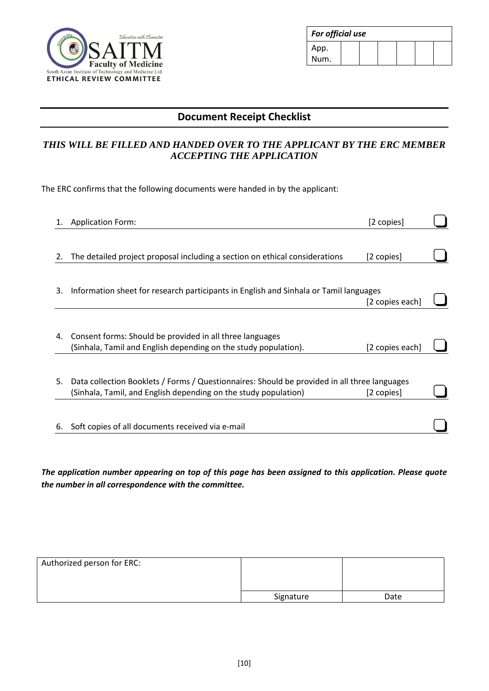

| For official use |  |  |  |  |  |
|------------------|--|--|--|--|--|
| App.             |  |  |  |  |  |
| Num.             |  |  |  |  |  |

## **Document Receipt Checklist**

### *THIS WILL BE FILLED AND HANDED OVER TO THE APPLICANT BY THE ERC MEMBER ACCEPTING THE APPLICATION*

The ERC confirms that the following documents were handed in by the applicant:

|    | <b>Application Form:</b>                                                                     | [2 copies]      |  |
|----|----------------------------------------------------------------------------------------------|-----------------|--|
|    |                                                                                              |                 |  |
| 2. | The detailed project proposal including a section on ethical considerations                  | [2 copies]      |  |
|    |                                                                                              |                 |  |
| 3. | Information sheet for research participants in English and Sinhala or Tamil languages        |                 |  |
|    |                                                                                              | [2 copies each] |  |
|    |                                                                                              |                 |  |
| 4. | Consent forms: Should be provided in all three languages                                     |                 |  |
|    | (Sinhala, Tamil and English depending on the study population).                              | [2 copies each] |  |
|    |                                                                                              |                 |  |
| 5. | Data collection Booklets / Forms / Questionnaires: Should be provided in all three languages |                 |  |
|    | (Sinhala, Tamil, and English depending on the study population)                              | [2 copies]      |  |
|    |                                                                                              |                 |  |
| 6. | Soft copies of all documents received via e-mail                                             |                 |  |
|    |                                                                                              |                 |  |

*The application number appearing on top of this page has been assigned to this application. Please quote the number in all correspondence with the committee.*

| Authorized person for ERC: |           |      |
|----------------------------|-----------|------|
|                            | Signature | Date |